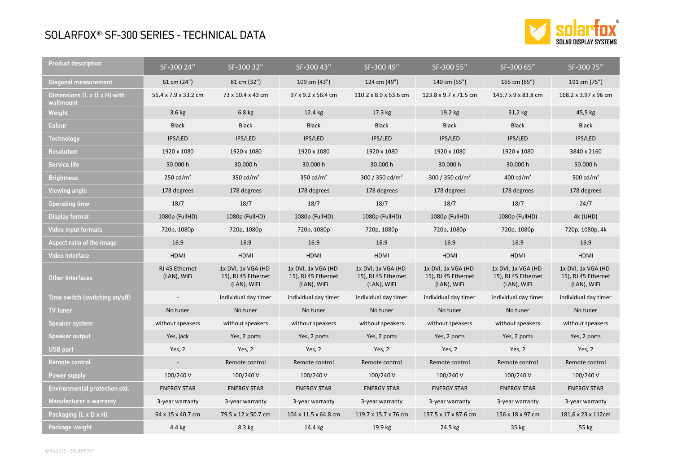## SOLARFOX® SF-300 SERIES - TECHNICAL DATA



| Product description                                  | SF-300 24"                    | SF-300 32"                                                | SF-300 43"                                                | SF-300 49"                                                | SF-300 55"                                                | SF-300 65"                                                | SF-300 75"                                                |
|------------------------------------------------------|-------------------------------|-----------------------------------------------------------|-----------------------------------------------------------|-----------------------------------------------------------|-----------------------------------------------------------|-----------------------------------------------------------|-----------------------------------------------------------|
| Diagonal measurement                                 | 61 cm (24")                   | 81 cm (32")                                               | 109 cm (43")                                              | 124 cm (49")                                              | 140 cm (55")                                              | 165 cm (65")                                              | 191 cm (75")                                              |
| Dimensions $(L \times D \times H)$ with<br>wallmount | 55.4 x 7.9 x 33.2 cm          | 73 x 10.4 x 43 cm                                         | 97 x 9.2 x 56.4 cm                                        | 110.2 x 8.9 x 63.6 cm                                     | 123.8 x 9.7 x 71.5 cm                                     | 145.7 x 9 x 83.8 cm                                       | 168.2 x 3.97 x 96 cm                                      |
| Weight                                               | 3.6 kg                        | $6.8$ kg                                                  | 12.4 kg                                                   | 17.3 kg                                                   | 19.2 kg                                                   | 31,2 kg                                                   | 45,5 kg                                                   |
| Colour                                               | <b>Black</b>                  | <b>Black</b>                                              | <b>Black</b>                                              | <b>Black</b>                                              | <b>Black</b>                                              | <b>Black</b>                                              | <b>Black</b>                                              |
| Technology                                           | IPS/LED                       | IPS/LED                                                   | IPS/LED                                                   | IPS/LED                                                   | IPS/LED                                                   | IPS/LED                                                   | IPS/LED                                                   |
| Resolution                                           | 1920 x 1080                   | 1920 x 1080                                               | 1920 x 1080                                               | 1920 x 1080                                               | 1920 x 1080                                               | 1920 x 1080                                               | 3840 x 2160                                               |
| Service life                                         | 50.000 h                      | 30.000 h                                                  | 30.000 h                                                  | 30.000 h                                                  | 30.000 h                                                  | 30.000 h                                                  | 50.000 h                                                  |
| <b>Brightness</b>                                    | 250 $cd/m2$                   | 350 $cd/m2$                                               | 350 $cd/m2$                                               | 300 / 350 cd/m <sup>2</sup>                               | 300 / 350 cd/m <sup>2</sup>                               | 400 cd/ $m2$                                              | 500 cd/ $m2$                                              |
| Viewing angle                                        | 178 degrees                   | 178 degrees                                               | 178 degrees                                               | 178 degrees                                               | 178 degrees                                               | 178 degrees                                               | 178 degrees                                               |
| Operating time                                       | 18/7                          | 18/7                                                      | 18/7                                                      | 18/7                                                      | 18/7                                                      | 18/7                                                      | 24/7                                                      |
| <b>Display format</b>                                | 1080p (FullHD)                | 1080p (FullHD)                                            | 1080p (FullHD)                                            | 1080p (FullHD)                                            | 1080p (FullHD)                                            | 1080p (FullHD)                                            | 4k (UHD)                                                  |
| Video input formats                                  | 720p, 1080p                   | 720p, 1080p                                               | 720p, 1080p                                               | 720p, 1080p                                               | 720p, 1080p                                               | 720p, 1080p                                               | 720p, 1080p, 4k                                           |
| Aspect ratio of the image                            | 16:9                          | 16:9                                                      | 16:9                                                      | 16:9                                                      | 16:9                                                      | 16:9                                                      | 16:9                                                      |
| Video interface                                      | <b>HDMI</b>                   | <b>HDMI</b>                                               | HDMI                                                      | <b>HDMI</b>                                               | <b>HDMI</b>                                               | <b>HDMI</b>                                               | HDMI                                                      |
| Other Interfaces                                     | RJ 45 Ethernet<br>(LAN), WiFi | 1x DVI, 1x VGA (HD-<br>15), RJ 45 Ethernet<br>(LAN), WiFi | 1x DVI, 1x VGA (HD-<br>15), RJ 45 Ethernet<br>(LAN), WiFi | 1x DVI, 1x VGA (HD-<br>15), RJ 45 Ethernet<br>(LAN), WiFi | 1x DVI, 1x VGA (HD-<br>15), RJ 45 Ethernet<br>(LAN), WiFi | 1x DVI, 1x VGA (HD-<br>15), RJ 45 Ethernet<br>(LAN), WiFi | 1x DVI, 1x VGA (HD-<br>15), RJ 45 Ethernet<br>(LAN), WiFi |
| Time switch (switching on/off)                       |                               | individual day timer                                      | individual day timer                                      | individual day timer                                      | individual day timer                                      | individual day timer                                      | individual day timer                                      |
| TV tuner                                             | No tuner                      | No tuner                                                  | No tuner                                                  | No tuner                                                  | No tuner                                                  | No tuner                                                  | No tuner                                                  |
| Speaker system                                       | without speakers              | without speakers                                          | without speakers                                          | without speakers                                          | without speakers                                          | without speakers                                          | without speakers                                          |
| Speaker output                                       | Yes, jack                     | Yes, 2 ports                                              | Yes, 2 ports                                              | Yes, 2 ports                                              | Yes, 2 ports                                              | Yes, 2 ports                                              | Yes, 2 ports                                              |
| <b>USB port</b>                                      | Yes, 2                        | Yes, 2                                                    | Yes, 2                                                    | Yes, 2                                                    | Yes, 2                                                    | Yes, 2                                                    | Yes, 2                                                    |
| Remote control                                       | $\overline{\phantom{a}}$      | Remote control                                            | Remote control                                            | Remote control                                            | Remote control                                            | Remote control                                            | Remote control                                            |
| Power supply                                         | 100/240 V                     | 100/240 V                                                 | 100/240 V                                                 | 100/240 V                                                 | 100/240 V                                                 | 100/240 V                                                 | 100/240 V                                                 |
| Environmental protection std.                        | <b>ENERGY STAR</b>            | <b>ENERGY STAR</b>                                        | <b>ENERGY STAR</b>                                        | <b>ENERGY STAR</b>                                        | <b>ENERGY STAR</b>                                        | <b>ENERGY STAR</b>                                        | <b>ENERGY STAR</b>                                        |
| Manufacturer's warranty                              | 3-year warranty               | 3-year warranty                                           | 3-year warranty                                           | 3-year warranty                                           | 3-year warranty                                           | 3-year warranty                                           | 3-year warranty                                           |
| Packaging (L x D x H)                                | 64 x 15 x 40.7 cm             | 79.5 x 12 x 50.7 cm                                       | 104 x 11.5 x 64.8 cm                                      | 119.7 x 15.7 x 76 cm                                      | 137.5 x 17 x 87.6 cm                                      | 156 x 18 x 97 cm                                          | 181,6 x 23 x 112cm                                        |
| Package weight                                       | 4.4 kg                        | 8.3 kg                                                    | 14.4 kg                                                   | 19.9 kg                                                   | 24.5 kg                                                   | 35 kg                                                     | 55 kg                                                     |